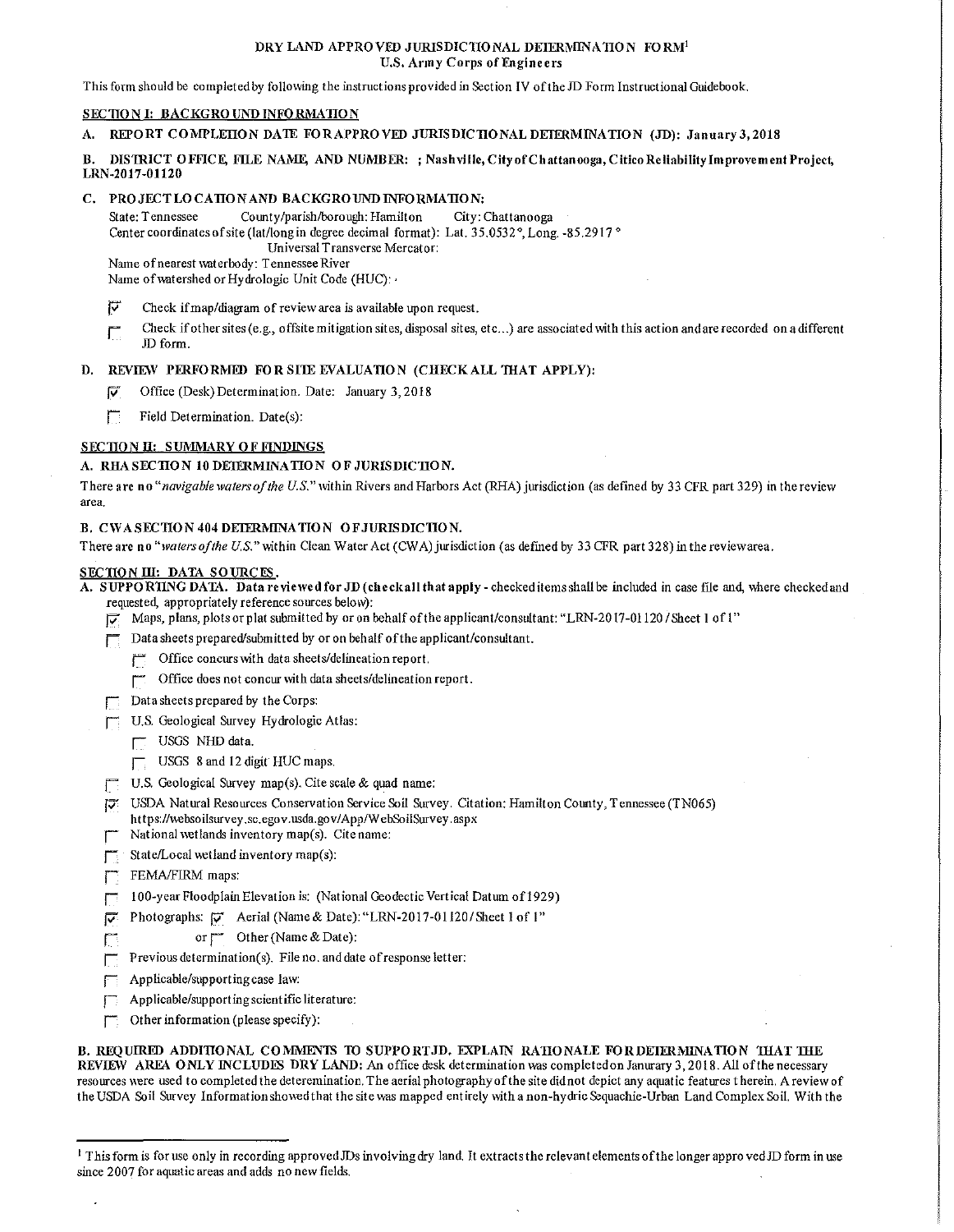#### DRY LAND APPROVED JURISDICTIONAL DETERMINATION FORM<sup>1</sup> U.S. Anny Corps of Engineers

This form should be completed by following the instructions provided in Section IV of the JD Form Instructional Guidebook.

## SECTION I: BACKGROUND INFORMATION

### A. REPORT COMPLETION DATE FOR APPROVED JURISDICTIONAL DETERMINATION (JD): January 3, 2018

## B. DISTRICT OFFICE, FILE NAME, AND NUMBER: ; Nashville, City of Chattanooga, Citico Reliability Improvement Project, LRN-2017-01120

# C, PROJECTLOCATIONAND BACKGROUNDINFORMATION:

State: Tennessee County/parish/borough: Hamilton City: Chattanooga Center coordinates of site (lat/long in degree decimal format): Lat. 35.0532 °, Long. -85 .2917 ° Universal Transverse Mercator:

Name of nearest \vaterbody: Tennessee River

Name of watershed or Hydrologic Unit Code (HUC): ·

- Γ Check if map/diagram of review area is available upon request.
- Check if other sites (e.g., offsite mitigation sites, disposal sites, etc...) are associated with this action and are recorded on a different Г JD form.

# D. REVIEW PERFORMED FOR SITE EVALUATION (CHECK ALL THAT APPLY):

- $\nabla$  Office (Desk) Determination. Date: January 3, 2018
- $\Box$  Field Determination. Date(s):

# SECTION II: SUMMARY OF FINDINGS

### A. RHA SECTION 10 DEIERMINATION OF JURISDICTION.

There arc no *"navigable waters of the U.S."* \vithin Rivers and Harbors Act (RHA) jurisdiction (as defined by 33 CFR part 329) in the review area.

### B. CWA SECTION 404 DEIERMINATION OF JURISDICTION.

There are no "waters of the U.S." within Clean Water Act (CWA) jurisdiction (as defined by 33 CFR part 328) in the reviewarea.

## SECTION III: DATA SOURCES.

A. SUPPO RTING DATA. Data reviewed for JD (check all that apply - checked items shall be included in case file and, where checked and requested, appropriately reference sources below):

- $\overline{\varphi}$ . Maps, plans, plots or plat submitted by or on behalf of the applicant/consultant: "LRN-2017-01120 / Sheet 1 of 1"
- $\Box$  Data sheets prepared/submitted by or on behalf of the applicant/consultant.
	- $\Box$  Office concurs with data sheets/delineation report.
		- r Office does not concur \vith data sheets/delineation report.
- $\Box$  Data sheets prepared by the Corps:
- **I U.S. Geological Survey Hydrologic Atlas:** 
	- $\Box$  USGS NHD data.
	- $\Box$  USGS 8 and 12 digit HUC maps.
- **U.S.** Geological Survey map(s). Cite scale & quad name:
- f7 USDA Natural Resources Conservation Service Soil Survey. Citation: Hamilton County, Tennessee (TN065) https://\vebsoilsurvey .sc.egov. usda.gov/ App/W ebSoilSurvey. aspx
- National wetlands inventory map(s). Cite name:
- $\Box$ : State/Local wetland inventory map(s):
- **FEMA/FIRM maps:**
- F 100-year Floodplain Elevation is: (National Geodectic Vertical Datum of 1929)
- $\overline{p}$  Photographs:  $\overline{p}$  Aerial (Name & Date): "LRN-2017-01120/Sheet 1 of 1"
	- or Other (Name & Date):
- Previous determination(s). File no. and date of response letter:
- $\Box$  Applicable/supporting case law:
- $\Box$  Applicable/supporting scientific literature:
- $\Box$  Other information (please specify):

B. REQUIRED ADDITIONAL COMMENTS TO SUPPORT JD, EXPLAIN RATIONALE FOR DETERMINATION THAT THE REVIEW AREA ONLY INCLUDES DRY LAND: An office desk determination was completed on Janurary 3, 2018. All of the necessary resources were used to completed the deteremination. The aerial photography of the site did not depict any aquatic features therein. A review of the USDA Soil Survey Information showed that the site was mapped entirely lvith a non-hydric Sequachie-Urban Land Complex Soil. With the

<sup>&</sup>lt;sup>1</sup> This form is for use only in recording approved JDs involving dry land. It extracts the relevant elements of the longer appro ved JD form in use since 2007 for aquatic areas and adds no new fields.